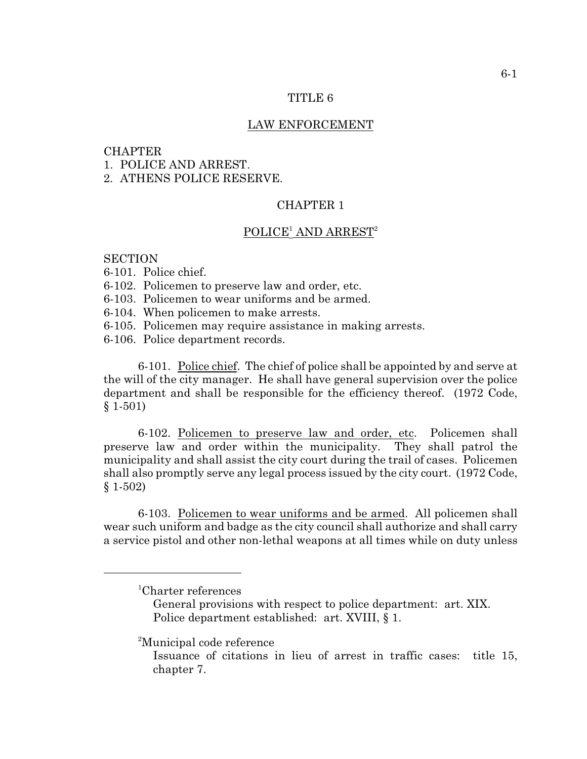### TITLE 6

### LAW ENFORCEMENT

## **CHAPTER**

1. POLICE AND ARREST.

2. ATHENS POLICE RESERVE.

# CHAPTER 1

### $POLICE<sup>1</sup> AND ARREST<sup>2</sup>$

### **SECTION**

- 6-101. Police chief.
- 6-102. Policemen to preserve law and order, etc.
- 6-103. Policemen to wear uniforms and be armed.
- 6-104. When policemen to make arrests.
- 6-105. Policemen may require assistance in making arrests.
- 6-106. Police department records.

6-101. Police chief. The chief of police shall be appointed by and serve at the will of the city manager. He shall have general supervision over the police department and shall be responsible for the efficiency thereof. (1972 Code, § 1-501)

6-102. Policemen to preserve law and order, etc. Policemen shall preserve law and order within the municipality. They shall patrol the municipality and shall assist the city court during the trail of cases. Policemen shall also promptly serve any legal process issued by the city court. (1972 Code, § 1-502)

6-103. Policemen to wear uniforms and be armed. All policemen shall wear such uniform and badge as the city council shall authorize and shall carry a service pistol and other non-lethal weapons at all times while on duty unless

<sup>2</sup>Municipal code reference

 ${}^{1}$ Charter references

General provisions with respect to police department: art. XIX. Police department established: art. XVIII, § 1.

Issuance of citations in lieu of arrest in traffic cases: title 15, chapter 7.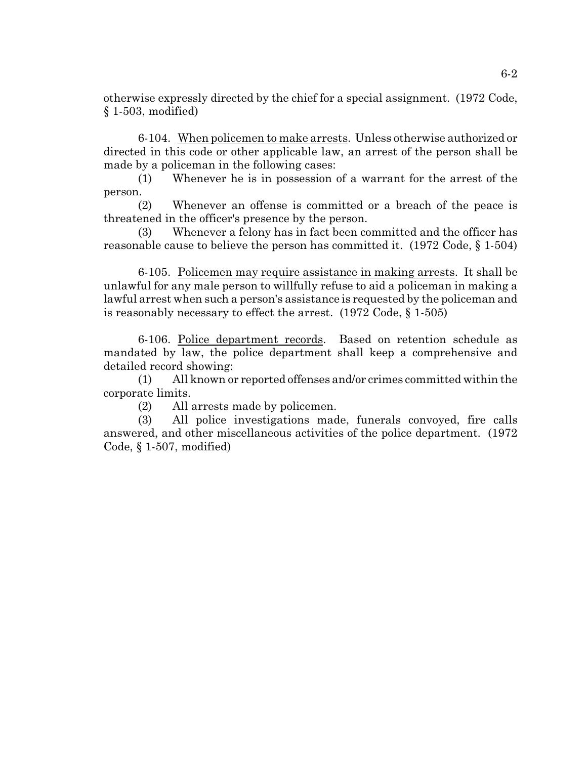otherwise expressly directed by the chief for a special assignment. (1972 Code, § 1-503, modified)

6-104. When policemen to make arrests. Unless otherwise authorized or directed in this code or other applicable law, an arrest of the person shall be made by a policeman in the following cases:

(1) Whenever he is in possession of a warrant for the arrest of the person.

(2) Whenever an offense is committed or a breach of the peace is threatened in the officer's presence by the person.

(3) Whenever a felony has in fact been committed and the officer has reasonable cause to believe the person has committed it. (1972 Code, § 1-504)

6-105. Policemen may require assistance in making arrests. It shall be unlawful for any male person to willfully refuse to aid a policeman in making a lawful arrest when such a person's assistance is requested by the policeman and is reasonably necessary to effect the arrest. (1972 Code, § 1-505)

6-106. Police department records. Based on retention schedule as mandated by law, the police department shall keep a comprehensive and detailed record showing:

(1) All known or reported offenses and/or crimes committed within the corporate limits.

(2) All arrests made by policemen.

(3) All police investigations made, funerals convoyed, fire calls answered, and other miscellaneous activities of the police department. (1972 Code, § 1-507, modified)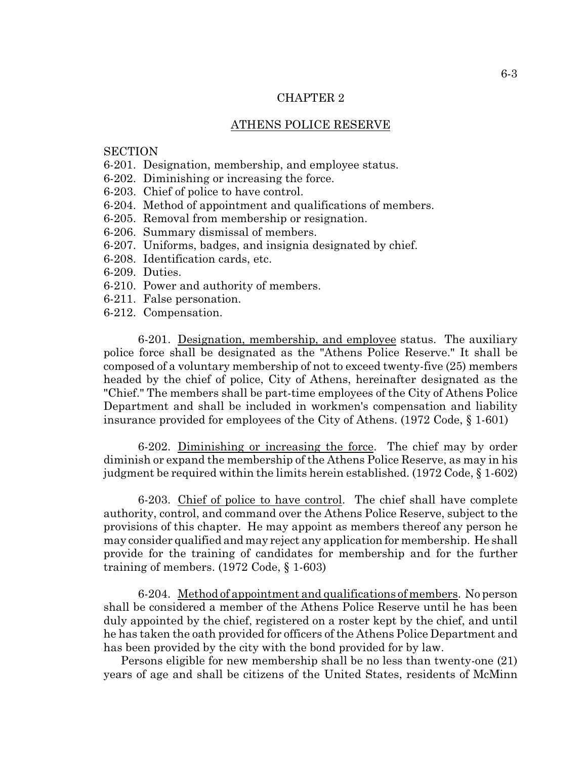### CHAPTER 2

### ATHENS POLICE RESERVE

### **SECTION**

- 6-201. Designation, membership, and employee status.
- 6-202. Diminishing or increasing the force.
- 6-203. Chief of police to have control.
- 6-204. Method of appointment and qualifications of members.
- 6-205. Removal from membership or resignation.
- 6-206. Summary dismissal of members.
- 6-207. Uniforms, badges, and insignia designated by chief.
- 6-208. Identification cards, etc.
- 6-209. Duties.
- 6-210. Power and authority of members.
- 6-211. False personation.
- 6-212. Compensation.

6-201. Designation, membership, and employee status. The auxiliary police force shall be designated as the "Athens Police Reserve." It shall be composed of a voluntary membership of not to exceed twenty-five (25) members headed by the chief of police, City of Athens, hereinafter designated as the "Chief." The members shall be part-time employees of the City of Athens Police Department and shall be included in workmen's compensation and liability insurance provided for employees of the City of Athens. (1972 Code, § 1-601)

6-202. Diminishing or increasing the force. The chief may by order diminish or expand the membership of the Athens Police Reserve, as may in his judgment be required within the limits herein established. (1972 Code, § 1-602)

6-203. Chief of police to have control. The chief shall have complete authority, control, and command over the Athens Police Reserve, subject to the provisions of this chapter. He may appoint as members thereof any person he may consider qualified and may reject any application for membership. He shall provide for the training of candidates for membership and for the further training of members. (1972 Code, § 1-603)

6-204. Method of appointment and qualifications of members. No person shall be considered a member of the Athens Police Reserve until he has been duly appointed by the chief, registered on a roster kept by the chief, and until he has taken the oath provided for officers of the Athens Police Department and has been provided by the city with the bond provided for by law.

 Persons eligible for new membership shall be no less than twenty-one (21) years of age and shall be citizens of the United States, residents of McMinn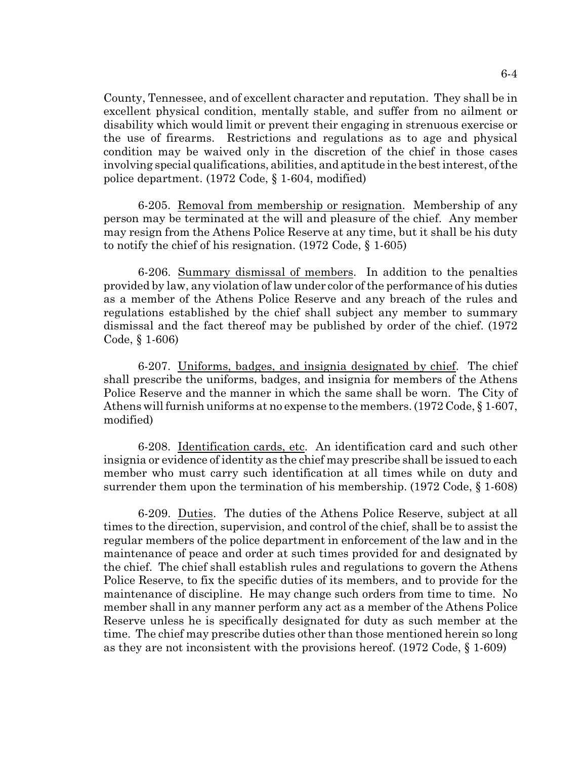County, Tennessee, and of excellent character and reputation. They shall be in excellent physical condition, mentally stable, and suffer from no ailment or disability which would limit or prevent their engaging in strenuous exercise or the use of firearms. Restrictions and regulations as to age and physical condition may be waived only in the discretion of the chief in those cases involving special qualifications, abilities, and aptitude in the best interest, of the police department. (1972 Code, § 1-604, modified)

6-205. Removal from membership or resignation. Membership of any person may be terminated at the will and pleasure of the chief. Any member may resign from the Athens Police Reserve at any time, but it shall be his duty to notify the chief of his resignation. (1972 Code, § 1-605)

6-206. Summary dismissal of members. In addition to the penalties provided by law, any violation of law under color of the performance of his duties as a member of the Athens Police Reserve and any breach of the rules and regulations established by the chief shall subject any member to summary dismissal and the fact thereof may be published by order of the chief. (1972 Code, § 1-606)

6-207. Uniforms, badges, and insignia designated by chief. The chief shall prescribe the uniforms, badges, and insignia for members of the Athens Police Reserve and the manner in which the same shall be worn. The City of Athens will furnish uniforms at no expense to the members.(1972 Code, § 1-607, modified)

6-208. Identification cards, etc. An identification card and such other insignia or evidence of identity as the chief may prescribe shall be issued to each member who must carry such identification at all times while on duty and surrender them upon the termination of his membership. (1972 Code, § 1-608)

6-209. Duties. The duties of the Athens Police Reserve, subject at all times to the direction, supervision, and control of the chief, shall be to assist the regular members of the police department in enforcement of the law and in the maintenance of peace and order at such times provided for and designated by the chief. The chief shall establish rules and regulations to govern the Athens Police Reserve, to fix the specific duties of its members, and to provide for the maintenance of discipline. He may change such orders from time to time. No member shall in any manner perform any act as a member of the Athens Police Reserve unless he is specifically designated for duty as such member at the time. The chief may prescribe duties other than those mentioned herein so long as they are not inconsistent with the provisions hereof. (1972 Code, § 1-609)